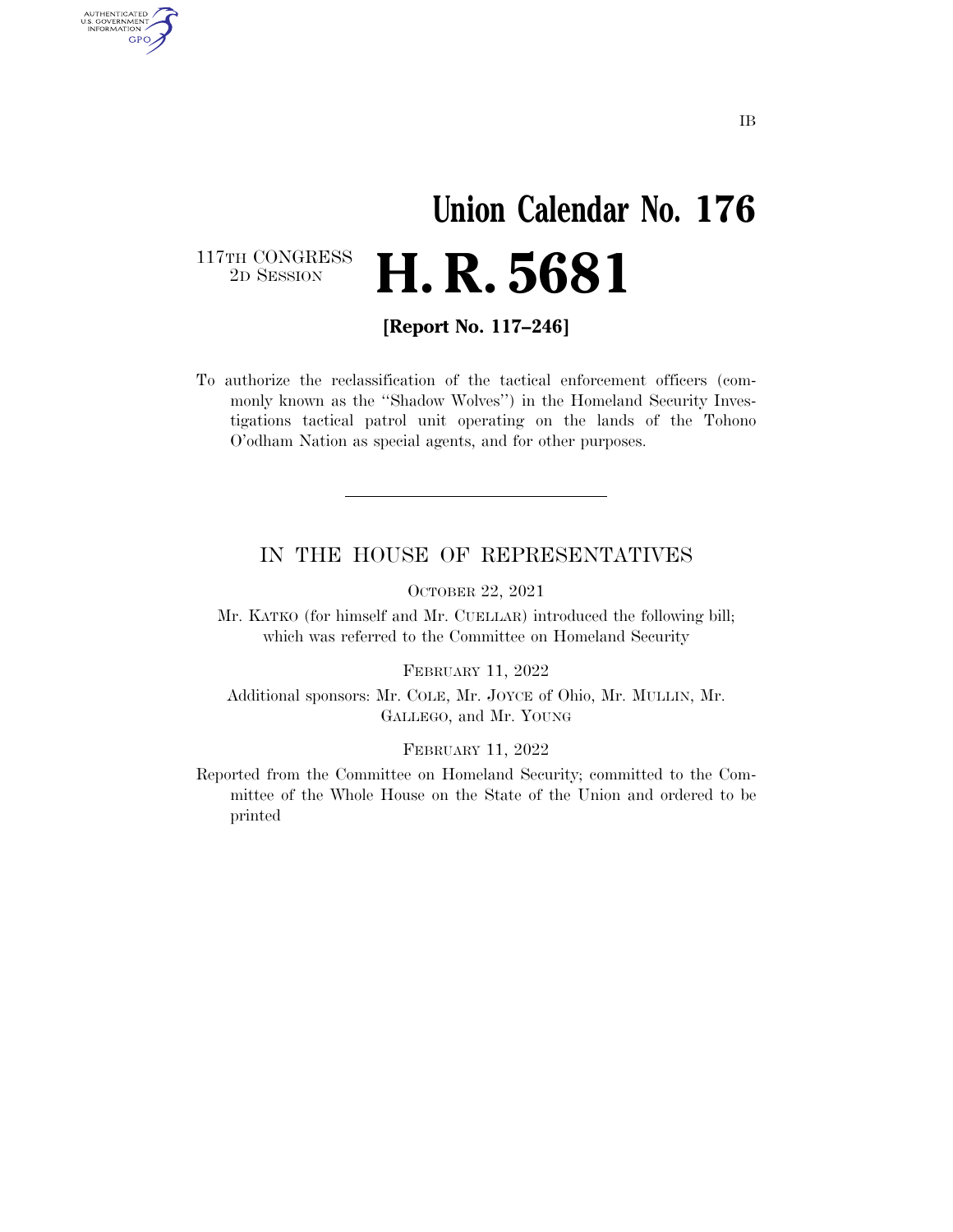## **Union Calendar No. 176**  2D SESSION **H. R. 5681**

117TH CONGRESS<br>2D SESSION

AUTHENTICATED<br>U.S. GOVERNMENT<br>INFORMATION GPO

**[Report No. 117–246]** 

To authorize the reclassification of the tactical enforcement officers (commonly known as the ''Shadow Wolves'') in the Homeland Security Investigations tactical patrol unit operating on the lands of the Tohono O'odham Nation as special agents, and for other purposes.

#### IN THE HOUSE OF REPRESENTATIVES

OCTOBER 22, 2021

Mr. KATKO (for himself and Mr. CUELLAR) introduced the following bill; which was referred to the Committee on Homeland Security

FEBRUARY 11, 2022

Additional sponsors: Mr. COLE, Mr. JOYCE of Ohio, Mr. MULLIN, Mr. GALLEGO, and Mr. YOUNG

#### FEBRUARY 11, 2022

Reported from the Committee on Homeland Security; committed to the Committee of the Whole House on the State of the Union and ordered to be printed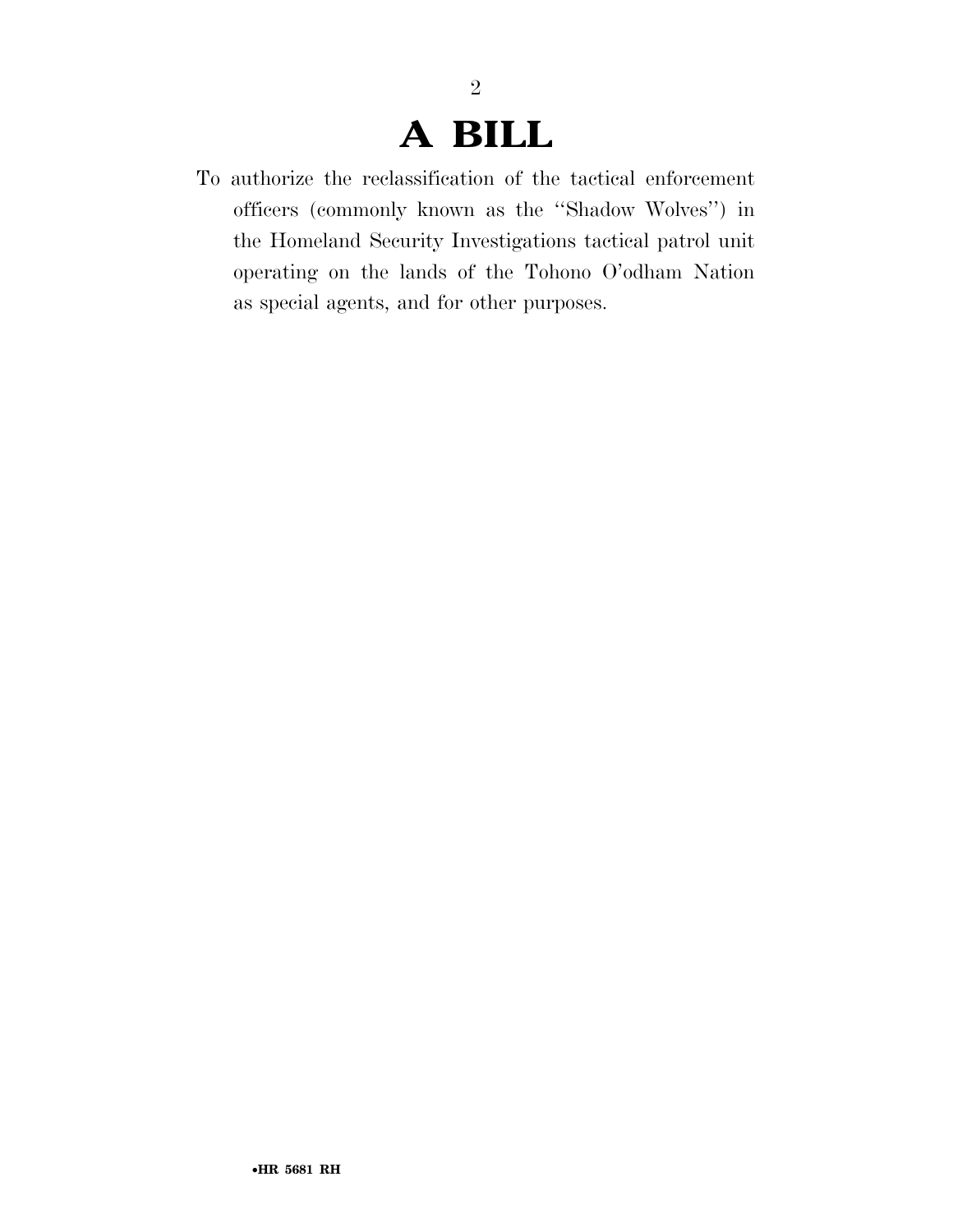### **A BILL**

2

To authorize the reclassification of the tactical enforcement officers (commonly known as the ''Shadow Wolves'') in the Homeland Security Investigations tactical patrol unit operating on the lands of the Tohono O'odham Nation as special agents, and for other purposes.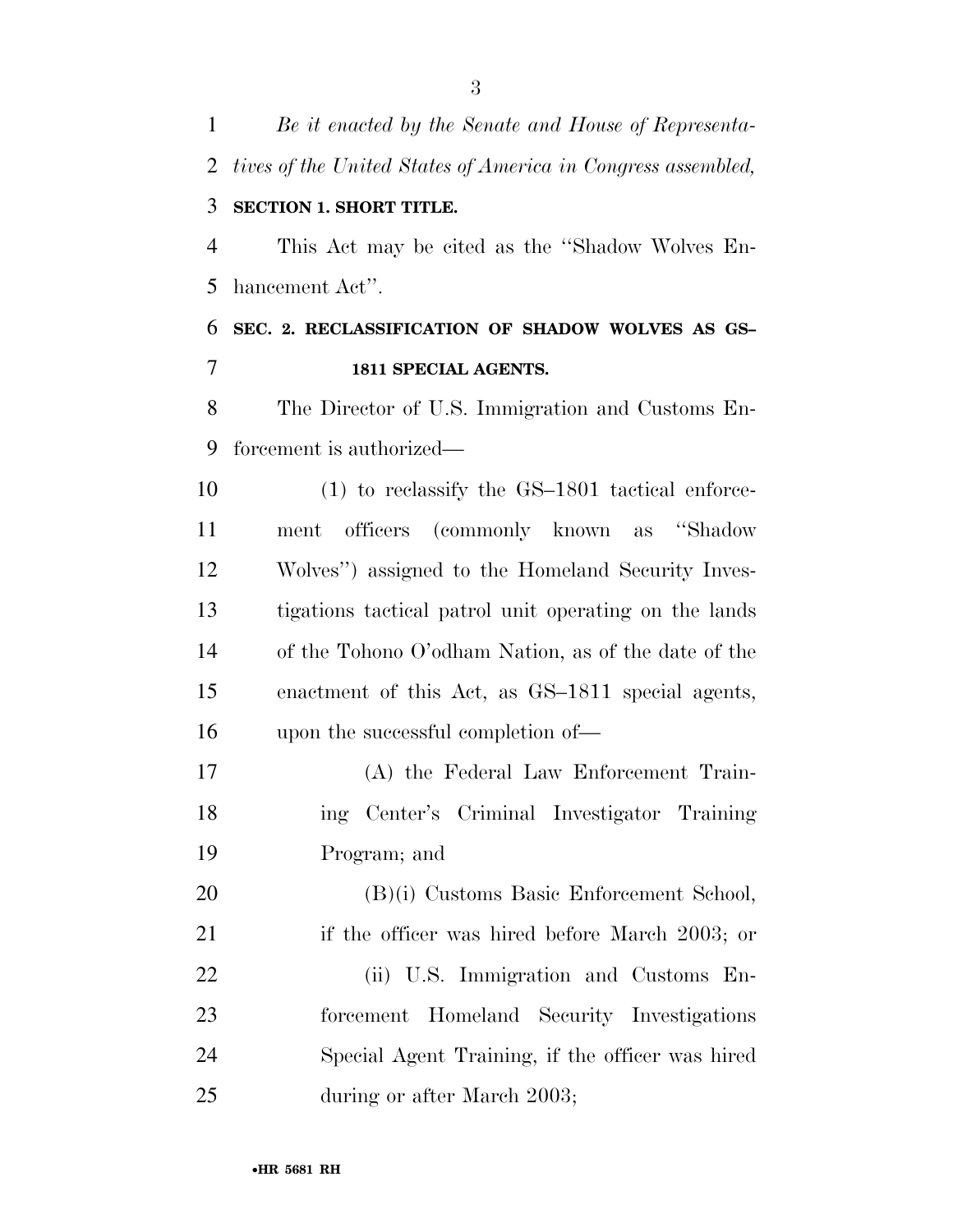*tives of the United States of America in Congress assembled,*  **SECTION 1. SHORT TITLE.**  This Act may be cited as the ''Shadow Wolves En- hancement Act''. **SEC. 2. RECLASSIFICATION OF SHADOW WOLVES AS GS– 1811 SPECIAL AGENTS.**  The Director of U.S. Immigration and Customs En- forcement is authorized— (1) to reclassify the GS–1801 tactical enforce- ment officers (commonly known as ''Shadow Wolves'') assigned to the Homeland Security Inves- tigations tactical patrol unit operating on the lands of the Tohono O'odham Nation, as of the date of the enactment of this Act, as GS–1811 special agents, upon the successful completion of— (A) the Federal Law Enforcement Train- ing Center's Criminal Investigator Training Program; and (B)(i) Customs Basic Enforcement School, 21 if the officer was hired before March 2003; or 22 (ii) U.S. Immigration and Customs En- forcement Homeland Security Investigations Special Agent Training, if the officer was hired

25 during or after March 2003;

•**HR 5681 RH**

*Be it enacted by the Senate and House of Representa-*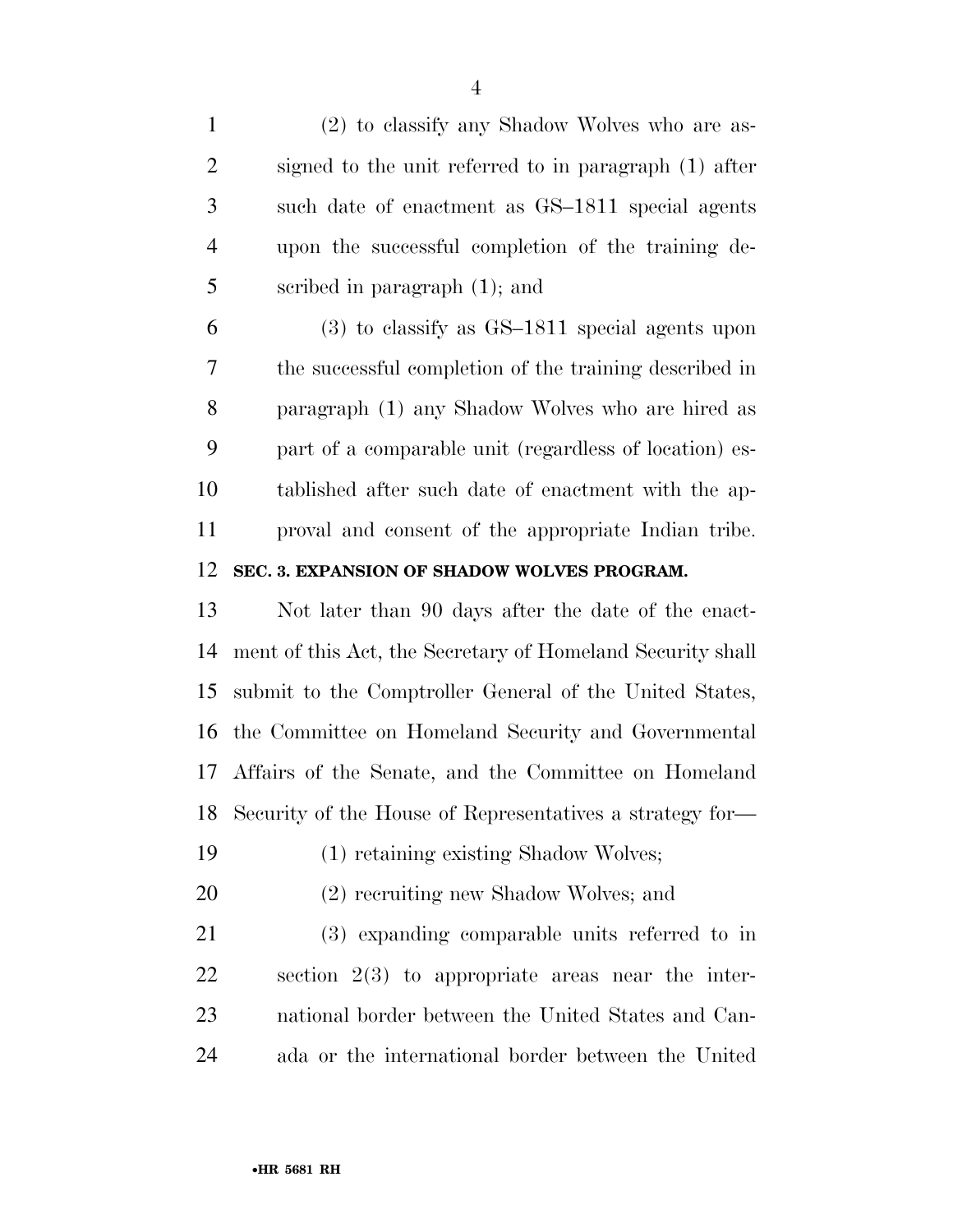(2) to classify any Shadow Wolves who are as- signed to the unit referred to in paragraph (1) after such date of enactment as GS–1811 special agents upon the successful completion of the training de-scribed in paragraph (1); and

 (3) to classify as GS–1811 special agents upon the successful completion of the training described in paragraph (1) any Shadow Wolves who are hired as part of a comparable unit (regardless of location) es- tablished after such date of enactment with the ap-proval and consent of the appropriate Indian tribe.

#### **SEC. 3. EXPANSION OF SHADOW WOLVES PROGRAM.**

 Not later than 90 days after the date of the enact- ment of this Act, the Secretary of Homeland Security shall submit to the Comptroller General of the United States, the Committee on Homeland Security and Governmental Affairs of the Senate, and the Committee on Homeland Security of the House of Representatives a strategy for—

(1) retaining existing Shadow Wolves;

(2) recruiting new Shadow Wolves; and

 (3) expanding comparable units referred to in section 2(3) to appropriate areas near the inter- national border between the United States and Can-ada or the international border between the United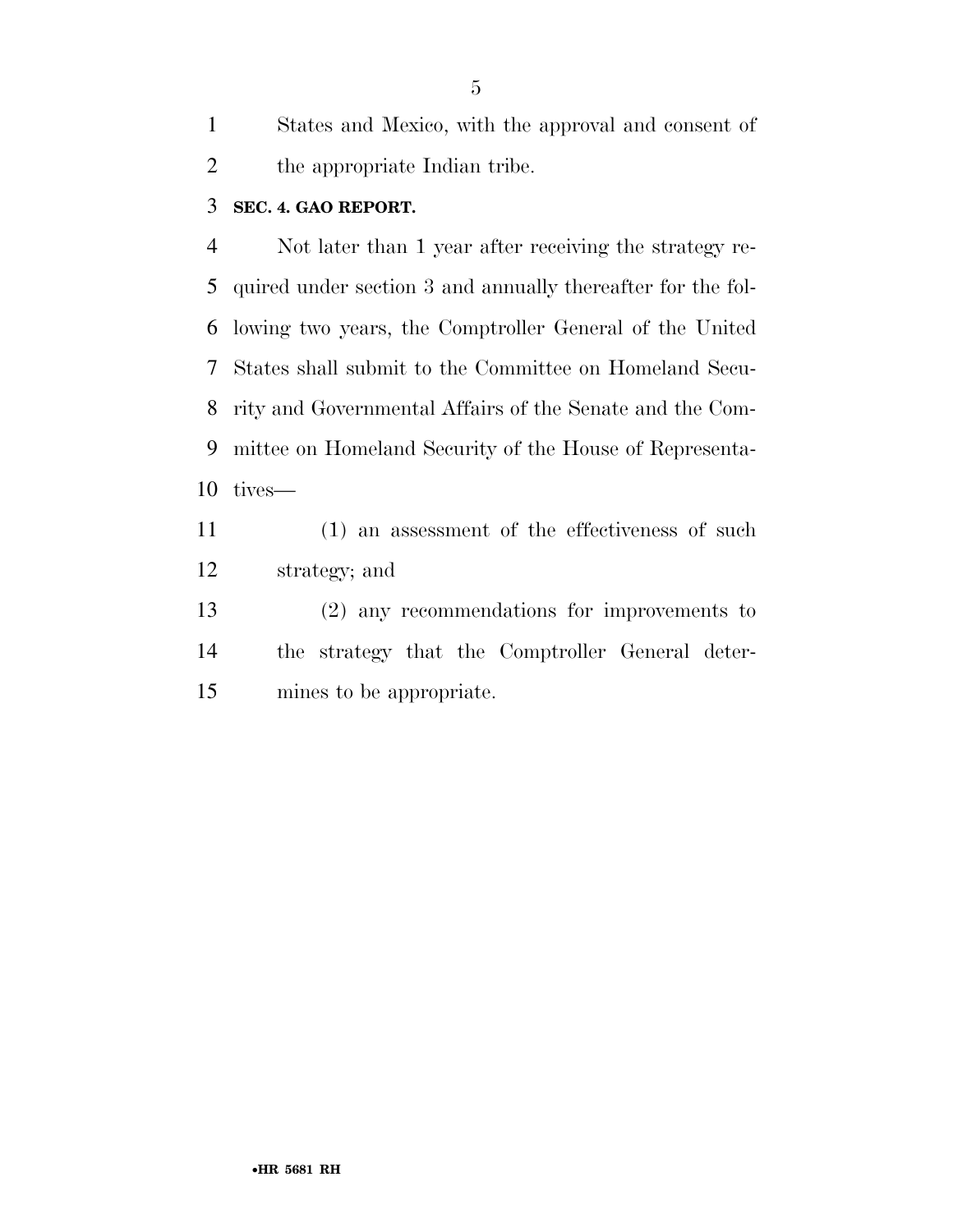States and Mexico, with the approval and consent of the appropriate Indian tribe.

#### **SEC. 4. GAO REPORT.**

 Not later than 1 year after receiving the strategy re- quired under section 3 and annually thereafter for the fol- lowing two years, the Comptroller General of the United States shall submit to the Committee on Homeland Secu- rity and Governmental Affairs of the Senate and the Com- mittee on Homeland Security of the House of Representa-tives—

- (1) an assessment of the effectiveness of such strategy; and
- (2) any recommendations for improvements to the strategy that the Comptroller General deter-mines to be appropriate.